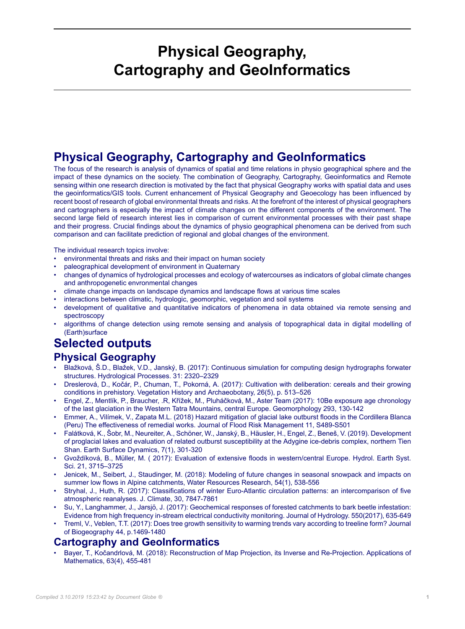## **Physical Geography, Cartography and GeoInformatics**

## **Physical Geography, Cartography and GeoInformatics**

The focus of the research is analysis of dynamics of spatial and time relations in physio geographical sphere and the impact of these dynamics on the society. The combination of Geography, Cartography, Geoinformatics and Remote sensing within one research direction is motivated by the fact that physical Geography works with spatial data and uses the geoinformatics/GIS tools. Current enhancement of Physical Geography and Geoecology has been influenced by recent boost of research of global environmental threats and risks. At the forefront of the interest of physical geographers and cartographers is especially the impact of climate changes on the different components of the environment. The second large field of research interest lies in comparison of current environmental processes with their past shape and their progress. Crucial findings about the dynamics of physio geographical phenomena can be derived from such comparison and can facilitate prediction of regional and global changes of the environment.

The individual research topics involve:

- environmental threats and risks and their impact on human society
- paleographical development of environment in Quaternary
- changes of dynamics of hydrological processes and ecology of watercourses as indicators of global climate changes and anthropogenetic envronmental changes
- climate change impacts on landscape dynamics and landscape flows at various time scales
- interactions between climatic, hydrologic, geomorphic, vegetation and soil systems
- development of qualitative and quantitative indicators of phenomena in data obtained via remote sensing and spectroscopy
- algorithms of change detection using remote sensing and analysis of topographical data in digital modelling of (Earth)surface

## **Selected outputs Physical Geography**

- Blažková, Š.D., Blažek, V.D., Janský, B. (2017): Continuous simulation for computing design hydrographs forwater structures. Hydrological Processes. 31: 2320–2329
- Dreslerová, D., Kočár, P., Chuman, T., Pokorná, A. (2017): Cultivation with deliberation: cereals and their growing conditions in prehistory. Vegetation History and Archaeobotany, 26(5), p. 513–526
- Engel, Z., Mentlík, P., Braucher, .R, Křížek, M., Pluháčková, M., Aster Team (2017): 10Be exposure age chronology of the last glaciation in the Western Tatra Mountains, central Europe. Geomorphology 293, 130-142
- Emmer, A., Vilímek, V., Zapata M.L. (2018) Hazard mitigation of glacial lake outburst floods in the Cordillera Blanca (Peru) The effectiveness of remedial works. Journal of Flood Risk Management 11, S489-S501
- Falátková, K., Šobr, M., Neureiter, A., Schöner, W., Janský, B., Häusler, H., Engel, Z., Beneš, V. (2019). Development of proglacial lakes and evaluation of related outburst susceptibility at the Adygine ice-debris complex, northern Tien Shan. Earth Surface Dynamics, 7(1), 301-320
- Gvoždíková, B., Müller, M. ( 2017): Evaluation of extensive floods in western/central Europe. Hydrol. Earth Syst. Sci. 21, 3715–3725
- Jenicek, M., Seibert, J., Staudinger, M. (2018): Modeling of future changes in seasonal snowpack and impacts on summer low flows in Alpine catchments, Water Resources Research, 54(1), 538-556
- Stryhal, J., Huth, R. (2017): Classifications of winter Euro-Atlantic circulation patterns: an intercomparison of five atmospheric reanalyses. J. Climate, 30, 7847-7861
- Su, Y., Langhammer, J., Jarsjö, J. (2017): Geochemical responses of forested catchments to bark beetle infestation: Evidence from high frequency in-stream electrical conductivity monitoring. Journal of Hydrology. 550(2017), 635-649
- Treml, V., Veblen, T.T. (2017): Does tree growth sensitivity to warming trends vary according to treeline form? Journal of Biogeography 44, p.1469-1480

## **Cartography and GeoInformatics**

• Bayer, T., Kočandrlová, M. (2018): Reconstruction of Map Projection, its Inverse and Re-Projection. Applications of Mathematics, 63(4), 455-481